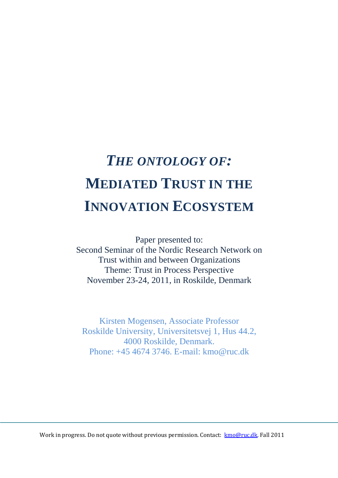## *THE ONTOLOGY OF:*  **MEDIATED TRUST IN THE INNOVATION ECOSYSTEM**

Paper presented to: Second Seminar of the Nordic Research Network on Trust within and between Organizations Theme: Trust in Process Perspective November 23-24, 2011, in Roskilde, Denmark

Kirsten Mogensen, Associate Professor Roskilde University, Universitetsvej 1, Hus 44.2, 4000 Roskilde, Denmark. Phone: +45 4674 3746. E-mail: kmo@ruc.dk

Work in progress. Do not quote without previous permission. Contact: kmo@ruc.dk. Fall 2011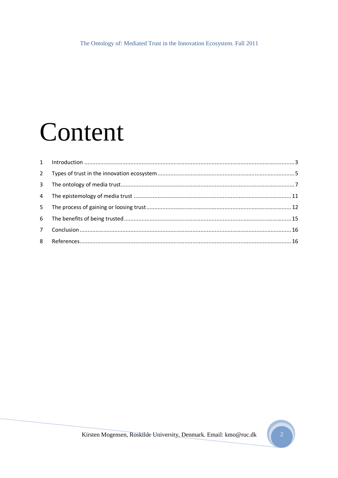# Content

| 3 <sup>1</sup> |  |
|----------------|--|
|                |  |
| 5 <sub>1</sub> |  |
|                |  |
| 7 <sup>7</sup> |  |
|                |  |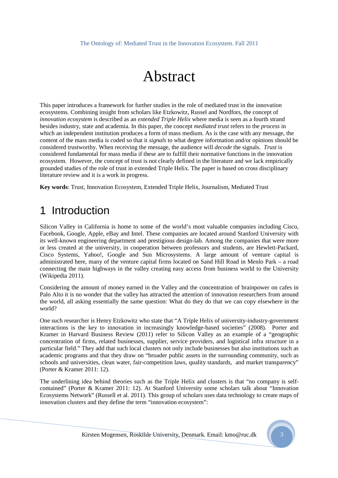### Abstract

This paper introduces a framework for further studies in the role of mediated trust in the innovation ecosystems. Combining insight from scholars like Etzkowitz, Russel and Nordfors, the concept of *innovation ecosystem* is described as an *extended Triple Helix* where media is seen as a fourth strand besides industry, state and academia. In this paper, the concept *mediated trust* refers to the *process* in which an independent institution produces a form of mass medium. As is the case with any message, the content of the mass media is coded so that it *signals* to what degree information and/or opinions should be considered trustworthy. When receiving the message, the audience will *decode* the signals. *Trust* is considered fundamental for mass media if these are to fulfill their normative functions in the innovation ecosystem. However, the concept of trust is not clearly defined in the literature and we lack empirically grounded studies of the role of trust in extended Triple Helix. The paper is based on cross disciplinary literature review and it is a work in progress.

**Key words**: Trust, Innovation Ecosystem, Extended Triple Helix, Journalism, Mediated Trust

### 1 Introduction

Silicon Valley in California is home to some of the world's most valuable companies including Cisco, Facebook, Google, Apple, eBay and Intel. These companies are located around Stanford University with its well-known engineering department and prestigious design-lab. Among the companies that were more or less created at the university, in cooperation between professors and students, are Hewlett-Packard, Cisco Systems, Yahoo!, Google and Sun Microsystems. A large amount of venture capital is administrated here, many of the venture capital firms located on Sand Hill Road in Menlo Park – a road connecting the main highways in the valley creating easy access from business world to the University (Wikipedia 2011).

Considering the amount of money earned in the Valley and the concentration of brainpower on cafes in Palo Alto it is no wonder that the valley has attracted the attention of innovation researchers from around the world, all asking essentially the same question: What do they do that we can copy elsewhere in the world?

One such researcher is Henry Etzkowitz who state that "A Triple Helix of university-industry-government interactions is the key to innovation in increasingly knowledge-based societies" (2008). Porter and Kramer in Harvard Business Review (2011) refer to Silicon Valley as an example of a "geographic concentration of firms, related businesses, supplier, service providers, and logistical infra structure in a particular field." They add that such local clusters not only include businesses but also institutions such as academic programs and that they draw on "broader public assets in the surrounding community, such as schools and universities, clean water, fair-competition laws, quality standards, and market transparency" (Porter & Kramer 2011: 12).

The underlining idea behind theories such as the Triple Helix and clusters is that "no company is selfcontained" (Porter & Kramer 2011: 12). At Stanford University some scholars talk about "Innovation Ecosystems Network" (Russell et al. 2011). This group of scholars uses data technology to create maps of innovation clusters and they define the term "innovation ecosystem":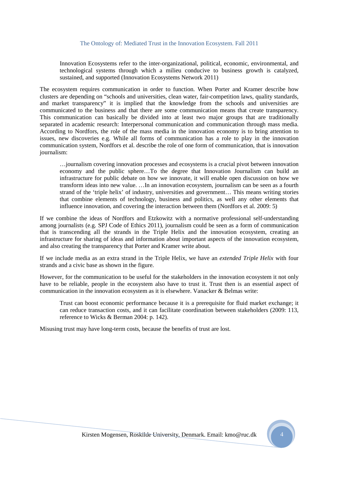Innovation Ecosystems refer to the inter-organizational, political, economic, environmental, and technological systems through which a milieu conducive to business growth is catalyzed, sustained, and supported (Innovation Ecosystems Network 2011)

The ecosystem requires communication in order to function. When Porter and Kramer describe how clusters are depending on "schools and universities, clean water, fair-competition laws, quality standards, and market transparency" it is implied that the knowledge from the schools and universities are communicated to the business and that there are some communication means that create transparency. This communication can basically be divided into at least two major groups that are traditionally separated in academic research: Interpersonal communication and communication through mass media. According to Nordfors, the role of the mass media in the innovation economy is to bring attention to issues, new discoveries e.g. While all forms of communication has a role to play in the innovation communication system, Nordfors et al. describe the role of one form of communication, that is innovation journalism:

…journalism covering innovation processes and ecosystems is a crucial pivot between innovation economy and the public sphere…To the degree that Innovation Journalism can build an infrastructure for public debate on how we innovate, it will enable open discussion on how we transform ideas into new value. …In an innovation ecosystem, journalism can be seen as a fourth strand of the 'triple helix' of industry, universities and government… This means writing stories that combine elements of technology, business and politics, as well any other elements that influence innovation, and covering the interaction between them (Nordfors et al. 2009: 5)

If we combine the ideas of Nordfors and Etzkowitz with a normative professional self-understanding among journalists (e.g. SPJ Code of Ethics 2011), journalism could be seen as a form of communication that is transcending all the strands in the Triple Helix and the innovation ecosystem, creating an infrastructure for sharing of ideas and information about important aspects of the innovation ecosystem, and also creating the transparency that Porter and Kramer write about.

If we include media as an extra strand in the Triple Helix, we have an *extended Triple Helix* with four strands and a civic base as shown in the figure.

However, for the communication to be useful for the stakeholders in the innovation ecosystem it not only have to be reliable, people in the ecosystem also have to trust it. Trust then is an essential aspect of communication in the innovation ecosystem as it is elsewhere. Vanacker & Belmas write:

Trust can boost economic performance because it is a prerequisite for fluid market exchange; it can reduce transaction costs, and it can facilitate coordination between stakeholders (2009: 113, reference to Wicks & Berman 2004: p. 142).

Misusing trust may have long-term costs, because the benefits of trust are lost.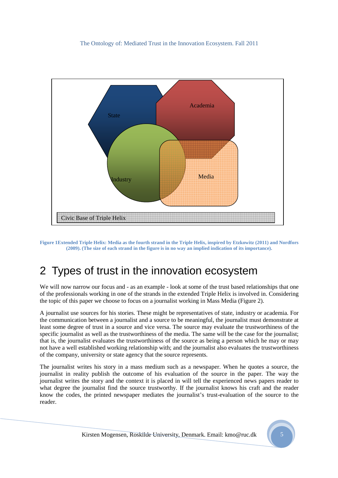

**Figure 1Extended Triple Helix: Media as the fourth strand in the Triple Helix, inspired by Etzkowitz (2011) and Nordfors (2009). (The size of each strand in the figure is in no way an implied indication of its importance).** 

### 2 Types of trust in the innovation ecosystem

We will now narrow our focus and - as an example - look at some of the trust based relationships that one of the professionals working in one of the strands in the extended Triple Helix is involved in. Considering the topic of this paper we choose to focus on a journalist working in Mass Media (Figure 2).

A journalist use sources for his stories. These might be representatives of state, industry or academia. For the communication between a journalist and a source to be meaningful, the journalist must demonstrate at least some degree of trust in a source and vice versa. The source may evaluate the trustworthiness of the specific journalist as well as the trustworthiness of the media. The same will be the case for the journalist; that is, the journalist evaluates the trustworthiness of the source as being a person which he may or may not have a well established working relationship with; and the journalist also evaluates the trustworthiness of the company, university or state agency that the source represents.

The journalist writes his story in a mass medium such as a newspaper. When he quotes a source, the journalist in reality publish the outcome of his evaluation of the source in the paper. The way the journalist writes the story and the context it is placed in will tell the experienced news papers reader to what degree the journalist find the source trustworthy. If the journalist knows his craft and the reader know the codes, the printed newspaper mediates the journalist's trust-evaluation of the source to the reader.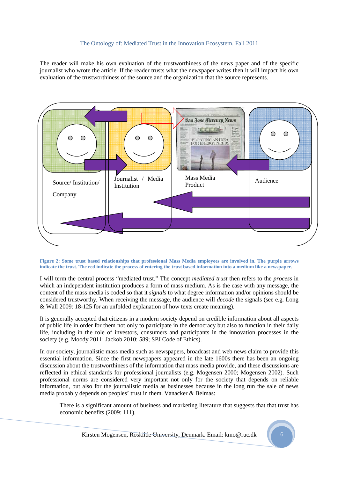The reader will make his own evaluation of the trustworthiness of the news paper and of the specific journalist who wrote the article. If the reader trusts what the newspaper writes then it will impact his own evaluation of the trustworthiness of the source and the organization that the source represents.



#### **Figure 2: Some trust based relationships that professional Mass Media employees are involved in. The purple arrows indicate the trust. The red indicate the process of entering the trust based information into a medium like a newspaper.**

I will term the central process "mediated trust." The concept *mediated trust* then refers to the *process* in which an independent institution produces a form of mass medium. As is the case with any message, the content of the mass media is coded so that it *signals* to what degree information and/or opinions should be considered trustworthy. When receiving the message, the audience will *decode* the signals (see e.g. Long & Wall 2009: 18-125 for an unfolded explanation of how texts create meaning).

It is generally accepted that citizens in a modern society depend on credible information about all aspects of public life in order for them not only to participate in the democracy but also to function in their daily life, including in the role of investors, consumers and participants in the innovation processes in the society (e.g. Moody 2011; Jackob 2010: 589; SPJ Code of Ethics).

In our society, journalistic mass media such as newspapers, broadcast and web news claim to provide this essential information. Since the first newspapers appeared in the late 1600s there has been an ongoing discussion about the trustworthiness of the information that mass media provide, and these discussions are reflected in ethical standards for professional journalists (e.g. Mogensen 2000; Mogensen 2002). Such professional norms are considered very important not only for the society that depends on reliable information, but also for the journalistic media as businesses because in the long run the sale of news media probably depends on peoples' trust in them. Vanacker & Belmas:

There is a significant amount of business and marketing literature that suggests that that trust has economic benefits (2009: 111).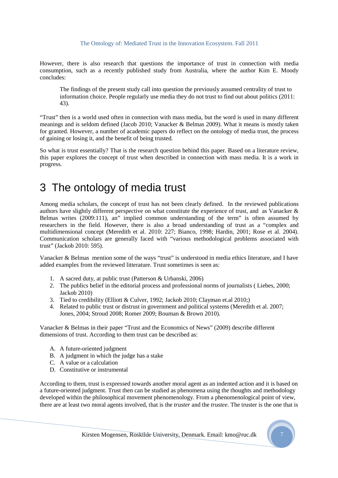However, there is also research that questions the importance of trust in connection with media consumption, such as a recently published study from Australia, where the author Kim E. Moody concludes:

The findings of the present study call into question the previously assumed centrality of trust to information choice. People regularly use media they do not trust to find out about politics (2011: 43).

"Trust" then is a world used often in connection with mass media, but the word is used in many different meanings and is seldom defined (Jacob 2010; Vanacker & Belmas 2009). What it means is mostly taken for granted. However, a number of academic papers do reflect on the ontology of media trust, the process of gaining or losing it, and the benefit of being trusted.

So what is trust essentially? That is the research question behind this paper. Based on a literature review, this paper explores the concept of trust when described in connection with mass media. It is a work in progress.

### 3 The ontology of media trust

Among media scholars, the concept of trust has not been clearly defined. In the reviewed publications authors have slightly different perspective on what constitute the experience of trust, and as Vanacker & Belmas writes (2009:111), an" implied common understanding of the term" is often assumed by researchers in the field. However, there is also a broad understanding of trust as a "complex and multidimensional concept (Meredith et al. 2010: 227; Bianco, 1998; Hardin, 2001; Rose et al. 2004). Communication scholars are generally faced with "various methodological problems associated with trust" (Jackob 2010: 595).

Vanacker & Belmas mention some of the ways "trust" is understood in media ethics literature, and I have added examples from the reviewed litterature. Trust sometimes is seen as:

- 1. A sacred duty, at public trust (Patterson & Urbanski, 2006)
- 2. The publics belief in the editorial process and professional norms of journalists ( Liebes, 2000; Jackob 2010)
- 3. Tied to credibility (Elliott & Culver, 1992; Jackob 2010; Clayman et.al 2010;)
- 4. Related to public trust or distrust in government and political systems (Meredith et al. 2007; Jones, 2004; Stroud 2008; Romer 2009; Bouman & Brown 2010).

Vanacker & Belmas in their paper "Trust and the Economics of News" (2009) describe different dimensions of trust. According to them trust can be described as:

- A. A future-oriented judgment
- B. A judgment in which the judge has a stake
- C. A value or a calculation
- D. Constitutive or instrumental

According to them, trust is expressed towards another moral agent as an indented action and it is based on a future-oriented judgment. Trust then can be studied as phenomena using the thoughts and methodology developed within the philosophical movement phenomenology. From a phenomenological point of view, there are at least two moral agents involved, that is the *truster* and the *trustee*. The truster is the one that is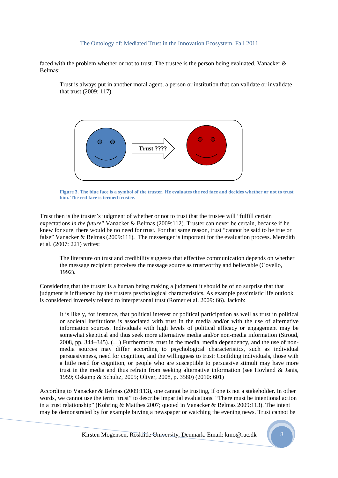faced with the problem whether or not to trust. The trustee is the person being evaluated. Vanacker & Belmas:

Trust is always put in another moral agent, a person or institution that can validate or invalidate that trust (2009: 117).



**Figure 3. The blue face is a symbol of the truster. He evaluates the red face and decides whether or not to trust him. The red face is termed trustee.** 

Trust then is the truster's judgment of whether or not to trust that the trustee will "fulfill certain expectations *in the future*" Vanacker & Belmas (2009:112). Truster can never be certain, because if he knew for sure, there would be no need for trust. For that same reason, trust "cannot be said to be true or false" Vanacker & Belmas (2009:111). The messenger is important for the evaluation process. Meredith et al. (2007: 221) writes:

The literature on trust and credibility suggests that effective communication depends on whether the message recipient perceives the message source as trustworthy and believable (Covello, 1992).

Considering that the truster is a human being making a judgment it should be of no surprise that that judgment is influenced by the trusters psychological characteristics. As example pessimistic life outlook is considered inversely related to interpersonal trust (Romer et al. 2009: 66). Jackob:

It is likely, for instance, that political interest or political participation as well as trust in political or societal institutions is associated with trust in the media and/or with the use of alternative information sources. Individuals with high levels of political efficacy or engagement may be somewhat skeptical and thus seek more alternative media and/or non-media information (Stroud, 2008, pp. 344–345). (…) Furthermore, trust in the media, media dependency, and the use of nonmedia sources may differ according to psychological characteristics, such as individual persuasiveness, need for cognition, and the willingness to trust: Confiding individuals, those with a little need for cognition, or people who are susceptible to persuasive stimuli may have more trust in the media and thus refrain from seeking alternative information (see Hovland & Janis, 1959; Oskamp & Schultz, 2005; Oliver, 2008, p. 3580) (2010: 601)

According to Vanacker & Belmas (2009:113), one cannot be trusting, if one is not a stakeholder. In other words, we cannot use the term "trust" to describe impartial evaluations. "There must be intentional action in a trust relationship" (Kohring & Matthes 2007; quoted in Vanacker & Belmas 2009:113). The intent may be demonstrated by for example buying a newspaper or watching the evening news. Trust cannot be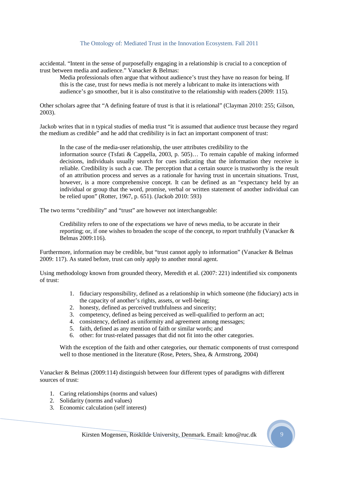accidental. "Intent in the sense of purposefully engaging in a relationship is crucial to a conception of trust between media and audience." Vanacker & Belmas:

Media professionals often argue that without audience's trust they have no reason for being. If this is the case, trust for news media is not merely a lubricant to make its interactions with audience's go smoother, but it is also constitutive to the relationship with readers (2009: 115).

Other scholars agree that "A defining feature of trust is that it is relational" (Clayman 2010: 255; Gilson, 2003).

Jackob writes that in n typical studies of media trust "it is assumed that audience trust because they regard the medium as credible" and he add that credibility is in fact an important component of trust:

In the case of the media-user relationship, the user attributes credibility to the information source (Tsfati & Cappella, 2003, p. 505)… To remain capable of making informed decisions, individuals usually search for cues indicating that the information they receive is reliable. Credibility is such a cue. The perception that a certain source is trustworthy is the result of an attribution process and serves as a rationale for having trust in uncertain situations. Trust, however, is a more comprehensive concept. It can be defined as an "expectancy held by an individual or group that the word, promise, verbal or written statement of another individual can be relied upon" (Rotter, 1967, p. 651). (Jackob 2010: 593)

The two terms "credibility" and "trust" are however not interchangeable:

Credibility refers to one of the expectations we have of news media, to be accurate in their reporting; or, if one wishes to broaden the scope of the concept, to report truthfully (Vanacker  $\&$ Belmas 2009:116).

Furthermore, information may be credible, but "trust cannot apply to information" (Vanacker & Belmas 2009: 117). As stated before, trust can only apply to another moral agent.

Using methodology known from grounded theory, Meredith et al. (2007: 221) indentified six components of trust:

- 1. fiduciary responsibility, defined as a relationship in which someone (the fiduciary) acts in the capacity of another's rights, assets, or well-being;
- 2. honesty, defined as perceived truthfulness and sincerity;
- 3. competency, defined as being perceived as well-qualified to perform an act;
- 4. consistency, defined as uniformity and agreement among messages;
- 5. faith, defined as any mention of faith or similar words; and
- 6. other: for trust-related passages that did not fit into the other categories.

With the exception of the faith and other categories, our thematic components of trust correspond well to those mentioned in the literature (Rose, Peters, Shea, & Armstrong, 2004)

Vanacker & Belmas (2009:114) distinguish between four different types of paradigms with different sources of trust:

- 1. Caring relationships (norms and values)
- 2. Solidarity (norms and values)
- 3. Economic calculation (self interest)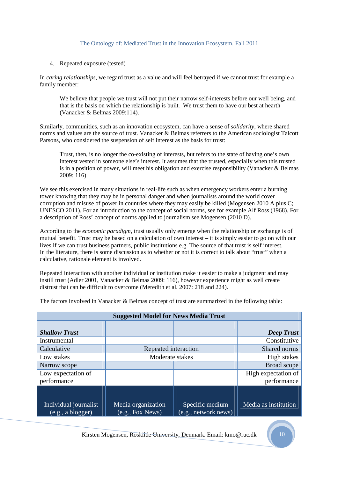### 4. Repeated exposure (tested)

In *caring relationships*, we regard trust as a value and will feel betrayed if we cannot trust for example a family member:

We believe that people we trust will not put their narrow self-interests before our well being, and that is the basis on which the relationship is built. We trust them to have our best at hearth (Vanacker & Belmas 2009:114).

Similarly, communities, such as an innovation ecosystem, can have a sense of *solidarity*, where shared norms and values are the source of trust. Vanacker & Belmas referrers to the American sociologist Talcott Parsons, who considered the suspension of self interest as the basis for trust:

Trust, then, is no longer the co-existing of interests, but refers to the state of having one's own interest vested in someone else's interest. It assumes that the trusted, especially when this trusted is in a position of power, will meet his obligation and exercise responsibility (Vanacker & Belmas 2009: 116)

We see this exercised in many situations in real-life such as when emergency workers enter a burning tower knowing that they may be in personal danger and when journalists around the world cover corruption and misuse of power in countries where they may easily be killed (Mogensen 2010 A plus C; UNESCO 2011). For an introduction to the concept of social norms, see for example Alf Ross (1968). For a description of Ross' concept of norms applied to journalism see Mogensen (2010 D).

According to the *economic paradigm*, trust usually only emerge when the relationship or exchange is of mutual benefit. Trust may be based on a calculation of own interest – it is simply easier to go on with our lives if we can trust business partners, public institutions e.g. The source of that trust is self interest. In the literature, there is some discussion as to whether or not it is correct to talk about "trust" when a calculative, rationale element is involved.

Repeated interaction with another individual or institution make it easier to make a judgment and may instill trust (Adler 2001, Vanacker & Belmas 2009: 116), however experience might as well create distrust that can be difficult to overcome (Meredith et al. 2007: 218 and 224).

The factors involved in Vanacker & Belmas concept of trust are summarized in the following table:

| <b>Suggested Model for News Media Trust</b>            |                                                     |                                         |                      |  |  |
|--------------------------------------------------------|-----------------------------------------------------|-----------------------------------------|----------------------|--|--|
| <b>Shallow Trust</b>                                   |                                                     |                                         | <b>Deep Trust</b>    |  |  |
| Instrumental                                           |                                                     |                                         | Constitutive         |  |  |
| Calculative                                            | Repeated interaction                                |                                         | Shared norms         |  |  |
| Low stakes                                             | Moderate stakes                                     |                                         |                      |  |  |
| Narrow scope                                           |                                                     |                                         | Broad scope          |  |  |
| Low expectation of                                     |                                                     |                                         | High expectation of  |  |  |
| performance                                            |                                                     |                                         | performance          |  |  |
| Individual journalist<br>(e.g., a <sub>blogger</sub> ) | Media organization<br>$(\overline{e.g., Fox}$ News) | Specific medium<br>(e.g., network news) | Media as institution |  |  |

Kirsten Mogensen, Roskilde University, Denmark. Email: kmo@ruc.dk 10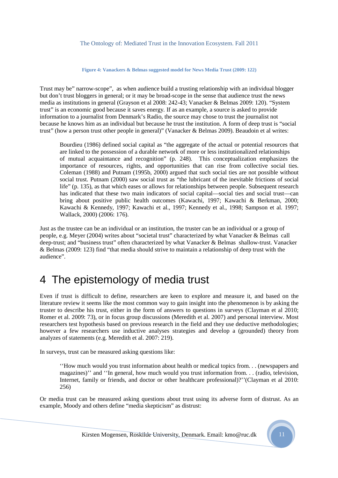**Figure 4: Vanackers & Belmas suggested model for News Media Trust (2009: 122)** 

Trust may be" narrow-scope", as when audience build a trusting relationship with an individual blogger but don't trust bloggers in general; or it may be broad-scope in the sense that audience trust the news media as institutions in general (Grayson et al 2008: 242-43; Vanacker & Belmas 2009: 120). "System trust" is an economic good because it saves energy. If as an example, a source is asked to provide information to a journalist from Denmark's Radio, the source may chose to trust the journalist not because he knows him as an individual but because he trust the institution. A form of deep trust is "social trust" (how a person trust other people in general)" (Vanacker & Belmas 2009). Beaudoin et al writes:

Bourdieu (1986) defined social capital as "the aggregate of the actual or potential resources that are linked to the possession of a durable network of more or less institutionalized relationships of mutual acquaintance and recognition" (p. 248). This conceptualization emphasizes the importance of resources, rights, and opportunities that can rise from collective social ties. Coleman (1988) and Putnam (1995b, 2000) argued that such social ties are not possible without social trust. Putnam (2000) saw social trust as "the lubricant of the inevitable frictions of social life" (p. 135), as that which eases or allows for relationships between people. Subsequent research has indicated that these two main indicators of social capital—social ties and social trust—can bring about positive public health outcomes (Kawachi, 1997; Kawachi & Berkman, 2000; Kawachi & Kennedy, 1997; Kawachi et al., 1997; Kennedy et al., 1998; Sampson et al. 1997; Wallack, 2000) (2006: 176).

Just as the trustee can be an individual or an institution, the truster can be an individual or a group of people, e.g. Meyer (2004) writes about "societal trust" characterized by what Vanacker & Belmas call deep-trust; and "business trust" often characterized by what Vanacker & Belmas shallow-trust. Vanacker & Belmas (2009: 123) find "that media should strive to maintain a relationship of deep trust with the audience".

### 4 The epistemology of media trust

Even if trust is difficult to define, researchers are keen to explore and measure it, and based on the literature review it seems like the most common way to gain insight into the phenomenon is by asking the truster to describe his trust, either in the form of answers to questions in surveys (Clayman et al 2010; Romer et al. 2009: 73), or in focus group discussions (Meredith et al. 2007) and personal interview. Most researchers test hypothesis based on previous research in the field and they use deductive methodologies; however a few researchers use inductive analyses strategies and develop a (grounded) theory from analyzes of statements (e.g. Meredith et al. 2007: 219).

In surveys, trust can be measured asking questions like:

''How much would you trust information about health or medical topics from. . . (newspapers and magazines)'' and ''In general, how much would you trust information from. . . (radio, television, Internet, family or friends, and doctor or other healthcare professional)?''(Clayman et al 2010: 256)

Or media trust can be measured asking questions about trust using its adverse form of distrust. As an example, Moody and others define "media skepticism" as distrust: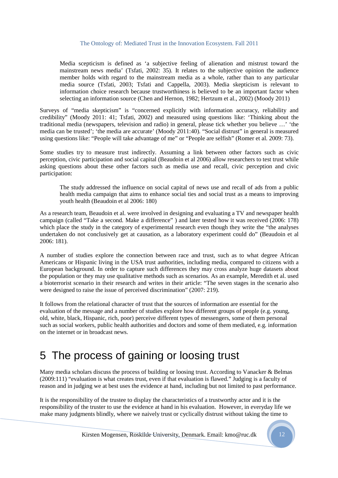Media scepticism is defined as 'a subjective feeling of alienation and mistrust toward the mainstream news media' (Tsfati, 2002: 35). It relates to the subjective opinion the audience member holds with regard to the mainstream media as a whole, rather than to any particular media source (Tsfati, 2003; Tsfati and Cappella, 2003). Media skepticism is relevant to information choice research because trustworthiness is believed to be an important factor when selecting an information source (Chen and Hernon, 1982; Hertzum et al., 2002) (Moody 2011)

Surveys of "media skepticism" is "concerned explicitly with information accuracy, reliability and credibility" (Moody 2011: 41; Tsfati, 2002) and measured using questions like: 'Thinking about the traditional media (newspapers, television and radio) in general, please tick whether you believe …' 'the media can be trusted'; 'the media are accurate' (Moody 2011:40). "Social distrust" in general is measured using questions like: "People will take advantage of me" or "People are selfish" (Romer et al. 2009: 73).

Some studies try to measure trust indirectly. Assuming a link between other factors such as civic perception, civic participation and social capital (Beaudoin et al 2006) allow researchers to test trust while asking questions about these other factors such as media use and recall, civic perception and civic participation:

The study addressed the influence on social capital of news use and recall of ads from a public health media campaign that aims to enhance social ties and social trust as a means to improving youth health (Beaudoin et al 2006: 180)

As a research team, Beaudoin et al. were involved in designing and evaluating a TV and newspaper health campaign (called "Take a second. Make a difference" ) and later tested how it was received (2006: 178) which place the study in the category of experimental research even though they write the "the analyses undertaken do not conclusively get at causation, as a laboratory experiment could do" (Beaudoin et al 2006: 181).

A number of studies explore the connection between race and trust, such as to what degree African Americans or Hispanic living in the USA trust authorities, including media, compared to citizens with a European background. In order to capture such differences they may cross analyze huge datasets about the population or they may use qualitative methods such as scenarios. As an example, Meredith et al. used a bioterrorist scenario in their research and writes in their article: "The seven stages in the scenario also were designed to raise the issue of perceived discrimination" (2007: 219).

It follows from the relational character of trust that the sources of information are essential for the evaluation of the message and a number of studies explore how different groups of people (e.g. young, old, white, black, Hispanic, rich, poor) perceive different types of messengers, some of them personal such as social workers, public health authorities and doctors and some of them mediated, e.g. information on the internet or in broadcast news.

### 5 The process of gaining or loosing trust

Many media scholars discuss the process of building or loosing trust. According to Vanacker & Belmas (2009:111) "evaluation is what creates trust, even if that evaluation is flawed." Judging is a faculty of reason and in judging we at best uses the evidence at hand, including but not limited to past performance.

It is the responsibility of the trustee to display the characteristics of a trustworthy actor and it is the responsibility of the truster to use the evidence at hand in his evaluation. However, in everyday life we make many judgments blindly, where we naively trust or cyclically distrust without taking the time to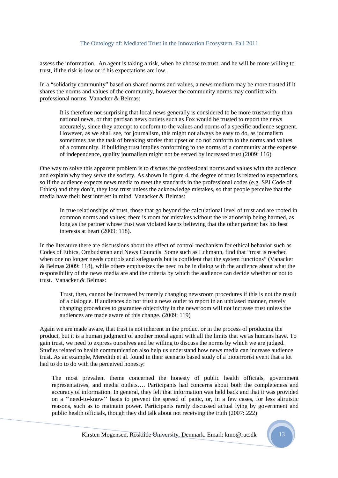assess the information. An agent is taking a risk, when he choose to trust, and he will be more willing to trust, if the risk is low or if his expectations are low.

In a "solidarity community" based on shared norms and values, a news medium may be more trusted if it shares the norms and values of the community, however the community norms may conflict with professional norms. Vanacker & Belmas:

It is therefore not surprising that local news generally is considered to be more trustworthy than national news, or that partisan news outlets such as Fox would be trusted to report the news accurately, since they attempt to conform to the values and norms of a specific audience segment. However, as we shall see, for journalism, this might not always be easy to do, as journalism sometimes has the task of breaking stories that upset or do not conform to the norms and values of a community. If building trust implies conforming to the norms of a community at the expense of independence, quality journalism might not be served by increased trust (2009: 116)

One way to solve this apparent problem is to discuss the professional norms and values with the audience and explain why they serve the society. As shown in figure 4, the degree of trust is related to expectations, so if the audience expects news media to meet the standards in the professional codes (e.g. SPJ Code of Ethics) and they don't, they lose trust unless the acknowledge mistakes, so that people perceive that the media have their best interest in mind. Vanacker & Belmas:

In true relationships of trust, those that go beyond the calculational level of trust and are rooted in common norms and values; there is room for mistakes without the relationship being harmed, as long as the partner whose trust was violated keeps believing that the other partner has his best interests at heart (2009: 118).

In the literature there are discussions about the effect of control mechanism for ethical behavior such as Codes of Ethics, Ombudsman and News Councils. Some such as Luhmann, find that "trust is reached when one no longer needs controls and safeguards but is confident that the system functions" (Vanacker & Belmas 2009: 118), while others emphasizes the need to be in dialog with the audience about what the responsibility of the news media are and the criteria by which the audience can decide whether or not to trust. Vanacker & Belmas:

Trust, then, cannot be increased by merely changing newsroom procedures if this is not the result of a dialogue. If audiences do not trust a news outlet to report in an unbiased manner, merely changing procedures to guarantee objectivity in the newsroom will not increase trust unless the audiences are made aware of this change. (2009: 119)

Again we are made aware, that trust is not inherent in the product or in the process of producing the product, but it is a human judgment of another moral agent with all the limits that we as humans have. To gain trust, we need to express ourselves and be willing to discuss the norms by which we are judged. Studies related to health communication also help us understand how news media can increase audience trust. As an example, Meredith et al. found in their scenario based study of a bioterrorist event that a lot had to do to do with the perceived honesty:

The most prevalent theme concerned the honesty of public health officials, government representatives, and media outlets…. Participants had concerns about both the completeness and accuracy of information. In general, they felt that information was held back and that it was provided on a ''need-to-know'' basis to prevent the spread of panic, or, in a few cases, for less altruistic reasons, such as to maintain power. Participants rarely discussed actual lying by government and public health officials, though they did talk about not receiving the truth (2007: 222)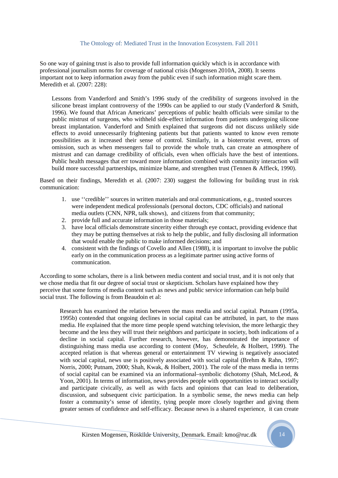So one way of gaining trust is also to provide full information quickly which is in accordance with professional journalism norms for coverage of national crisis (Mogensen 2010A, 2008). It seems important not to keep information away from the public even if such information might scare them. Meredith et al. (2007: 228):

Lessons from Vanderford and Smith's 1996 study of the credibility of surgeons involved in the silicone breast implant controversy of the 1990s can be applied to our study (Vanderford & Smith, 1996). We found that African Americans' perceptions of public health officials were similar to the public mistrust of surgeons, who withheld side-effect information from patients undergoing silicone breast implantation. Vanderford and Smith explained that surgeons did not discuss unlikely side effects to avoid unnecessarily frightening patients but that patients wanted to know even remote possibilities as it increased their sense of control. Similarly, in a bioterrorist event, errors of omission, such as when messengers fail to provide the whole truth, can create an atmosphere of mistrust and can damage credibility of officials, even when officials have the best of intentions. Public health messages that err toward more information combined with community interaction will build more successful partnerships, minimize blame, and strengthen trust (Tennen & Affleck, 1990).

Based on their findings, Meredith et al. (2007: 230) suggest the following for building trust in risk communication:

- 1. use ''credible'' sources in written materials and oral communications, e.g., trusted sources were independent medical professionals (personal doctors, CDC officials) and national media outlets (CNN, NPR, talk shows), and citizens from that community;
- 2. provide full and accurate information in those materials;
- 3. have local officials demonstrate sincerity either through eye contact, providing evidence that they may be putting themselves at risk to help the public, and fully disclosing all information that would enable the public to make informed decisions; and
- 4. consistent with the findings of Covello and Allen (1988), it is important to involve the public early on in the communication process as a legitimate partner using active forms of communication.

According to some scholars, there is a link between media content and social trust, and it is not only that we chose media that fit our degree of social trust or skepticism. Scholars have explained how they perceive that some forms of media content such as news and public service information can help build social trust. The following is from Beaudoin et al:

Research has examined the relation between the mass media and social capital. Putnam (1995a, 1995b) contended that ongoing declines in social capital can be attributed, in part, to the mass media. He explained that the more time people spend watching television, the more lethargic they become and the less they will trust their neighbors and participate in society, both indications of a decline in social capital. Further research, however, has demonstrated the importance of distinguishing mass media use according to content (Moy, Scheufele, & Holbert, 1999). The accepted relation is that whereas general or entertainment TV viewing is negatively associated with social capital, news use is positively associated with social capital (Brehm & Rahn, 1997; Norris, 2000; Putnam, 2000; Shah, Kwak, & Holbert, 2001). The role of the mass media in terms of social capital can be examined via an informational–symbolic dichotomy (Shah, McLeod, & Yoon, 2001). In terms of information, news provides people with opportunities to interact socially and participate civically, as well as with facts and opinions that can lead to deliberation, discussion, and subsequent civic participation. In a symbolic sense, the news media can help foster a community's sense of identity, tying people more closely together and giving them greater senses of confidence and self-efficacy. Because news is a shared experience, it can create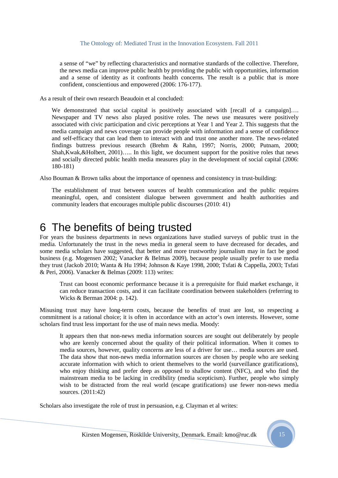a sense of "we" by reflecting characteristics and normative standards of the collective. Therefore, the news media can improve public health by providing the public with opportunities, information and a sense of identity as it confronts health concerns. The result is a public that is more confident, conscientious and empowered (2006: 176-177).

As a result of their own research Beaudoin et al concluded:

We demonstrated that social capital is positively associated with [recall of a campaign].... Newspaper and TV news also played positive roles. The news use measures were positively associated with civic participation and civic perceptions at Year 1 and Year 2. This suggests that the media campaign and news coverage can provide people with information and a sense of confidence and self-efficacy that can lead them to interact with and trust one another more. The news-related findings buttress previous research (Brehm & Rahn, 1997; Norris, 2000; Putnam, 2000; Shah,Kwak,&Holbert, 2001)….. In this light, we document support for the positive roles that news and socially directed public health media measures play in the development of social capital (2006: 180-181)

Also Bouman & Brown talks about the importance of openness and consistency in trust-building:

The establishment of trust between sources of health communication and the public requires meaningful, open, and consistent dialogue between government and health authorities and community leaders that encourages multiple public discourses (2010: 41)

### 6 The benefits of being trusted

For years the business departments in news organizations have studied surveys of public trust in the media. Unfortunately the trust in the news media in general seem to have decreased for decades, and some media scholars have suggested, that better and more trustworthy journalism may in fact be good business (e.g. Mogensen 2002; Vanacker & Belmas 2009), because people usually prefer to use media they trust (Jackob 2010; Wanta & Hu 1994; Johnson & Kaye 1998, 2000; Tsfati & Cappella, 2003; Tsfati & Peri, 2006). Vanacker & Belmas (2009: 113) writes:

Trust can boost economic performance because it is a prerequisite for fluid market exchange, it can reduce transaction costs, and it can facilitate coordination between stakeholders (referring to Wicks & Berman 2004: p. 142).

Misusing trust may have long-term costs, because the benefits of trust are lost, so respecting a commitment is a rational choice; it is often in accordance with an actor's own interests. However, some scholars find trust less important for the use of main news media. Moody:

It appears then that non-news media information sources are sought out deliberately by people who are keenly concerned about the quality of their political information. When it comes to media sources, however, quality concerns are less of a driver for use… media sources are used. The data show that non-news media information sources are chosen by people who are seeking accurate information with which to orient themselves to the world (surveillance gratifications), who enjoy thinking and prefer deep as opposed to shallow content (NFC), and who find the mainstream media to be lacking in credibility (media scepticism). Further, people who simply wish to be distracted from the real world (escape gratifications) use fewer non-news media sources. (2011:42)

Scholars also investigate the role of trust in persuasion, e.g. Clayman et al writes: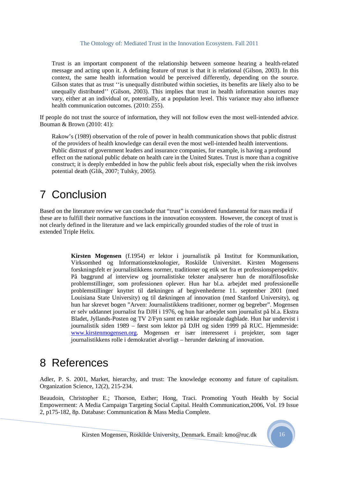Trust is an important component of the relationship between someone hearing a health-related message and acting upon it. A defining feature of trust is that it is relational (Gilson, 2003). In this context, the same health information would be perceived differently, depending on the source. Gilson states that as trust ''is unequally distributed within societies, its benefits are likely also to be unequally distributed'' (Gilson, 2003). This implies that trust in health information sources may vary, either at an individual or, potentially, at a population level. This variance may also influence health communication outcomes. (2010: 255).

If people do not trust the source of information, they will not follow even the most well-intended advice. Bouman & Brown (2010: 41):

Rakow's (1989) observation of the role of power in health communication shows that public distrust of the providers of health knowledge can derail even the most well-intended health interventions. Public distrust of government leaders and insurance companies, for example, is having a profound effect on the national public debate on health care in the United States. Trust is more than a cognitive construct; it is deeply embedded in how the public feels about risk, especially when the risk involves potential death (Glik, 2007; Tulsky, 2005).

### 7 Conclusion

Based on the literature review we can conclude that "trust" is considered fundamental for mass media if these are to fulfill their normative functions in the innovation ecosystem. However, the concept of trust is not clearly defined in the literature and we lack empirically grounded studies of the role of trust in extended Triple Helix.

> **Kirsten Mogensen** (f.1954) er lektor i journalistik på Institut for Kommunikation, Virksomhed og Informationsteknologier, Roskilde Universitet. Kirsten Mogensens forskningsfelt er journalistikkens normer, traditioner og etik set fra et professionsperspektiv. På baggrund af interview og journalistiske tekster analyserer hun de moralfilosofiske problemstillinger, som professionen oplever. Hun har bl.a. arbejdet med professionelle problemstillinger knyttet til dækningen af begivenhederne 11. september 2001 (med Louisiana State University) og til dækningen af innovation (med Stanford University), og hun har skrevet bogen "Arven: Journalistikkens traditioner, normer og begreber". Mogensen er selv uddannet journalist fra DJH i 1976, og hun har arbejdet som journalist på bl.a. Ekstra Bladet, Jyllands-Posten og TV 2/Fyn samt en række regionale dagblade. Hun har undervist i journalistik siden 1989 – først som lektor på DJH og siden 1999 på RUC. Hjemmeside: www.kirstenmogensen.org. Mogensen er især interesseret i projekter, som tager journalistikkens rolle i demokratiet alvorligt – herunder dækning af innovation.

### 8 References

Adler, P. S. 2001, Market, hierarchy, and trust: The knowledge economy and future of capitalism. Organization Science, 12(2), 215-234.

Beaudoin, Christopher E.; Thorson, Esther; Hong, Traci. Promoting Youth Health by Social Empowerment: A Media Campaign Targeting Social Capital. Health Communication,2006, Vol. 19 Issue 2, p175-182, 8p. Database: Communication & Mass Media Complete.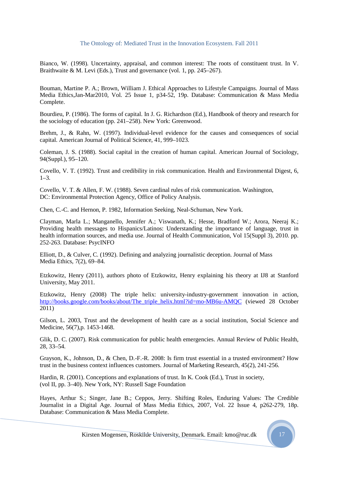Bianco, W. (1998). Uncertainty, appraisal, and common interest: The roots of constituent trust. In V. Braithwaite & M. Levi (Eds.), Trust and governance (vol. 1, pp. 245–267).

Bouman, Martine P. A.; Brown, William J. Ethical Approaches to Lifestyle Campaigns. Journal of Mass Media Ethics,Jan-Mar2010, Vol. 25 Issue 1, p34-52, 19p. Database: Communication & Mass Media Complete.

Bourdieu, P. (1986). The forms of capital. In J. G. Richardson (Ed.), Handbook of theory and research for the sociology of education (pp. 241–258). New York: Greenwood.

Brehm, J., & Rahn, W. (1997). Individual-level evidence for the causes and consequences of social capital. American Journal of Political Science, 41, 999–1023.

Coleman, J. S. (1988). Social capital in the creation of human capital. American Journal of Sociology, 94(Suppl.), 95–120.

Covello, V. T. (1992). Trust and credibility in risk communication. Health and Environmental Digest, 6,  $1-3.$ 

Covello, V. T. & Allen, F. W. (1988). Seven cardinal rules of risk communication. Washington, DC: Environmental Protection Agency, Office of Policy Analysis.

Chen, C.-C. and Hernon, P. 1982, Information Seeking, Neal-Schuman, New York.

Clayman, Marla L.; Manganello, Jennifer A.; Viswanath, K.; Hesse, Bradford W.; Arora, Neeraj K.; Providing health messages to Hispanics/Latinos: Understanding the importance of language, trust in health information sources, and media use. Journal of Health Communication, Vol 15(Suppl 3), 2010. pp. 252-263. Database: PsycINFO

Elliott, D., & Culver, C. (1992). Defining and analyzing journalistic deception. Journal of Mass Media Ethics, 7(2), 69–84.

Etzkowitz, Henry (2011), authors photo of Etzkowitz, Henry explaining his theory at IJ8 at Stanford University, May 2011.

Etzkowitz, Henry (2008) The triple helix: university-industry-government innovation in action, http://books.google.com/books/about/The\_triple\_helix.html?id=mo-MB6u-AMOC (viewed 28 October 2011)

Gilson, L. 2003, Trust and the development of health care as a social institution, Social Science and Medicine, 56(7),p. 1453-1468.

Glik, D. C. (2007). Risk communication for public health emergencies. Annual Review of Public Health, 28, 33–54.

Grayson, K., Johnson, D., & Chen, D.-F.-R. 2008: Is firm trust essential in a trusted environment? How trust in the business context influences customers. Journal of Marketing Research, 45(2), 241-256.

Hardin, R. (2001). Conceptions and explanations of trust. In K. Cook (Ed.), Trust in society, (vol II, pp. 3–40). New York, NY: Russell Sage Foundation

Hayes, Arthur S.; Singer, Jane B.; Ceppos, Jerry. Shifting Roles, Enduring Values: The Credible Journalist in a Digital Age. Journal of Mass Media Ethics, 2007, Vol. 22 Issue 4, p262-279, 18p. Database: Communication & Mass Media Complete.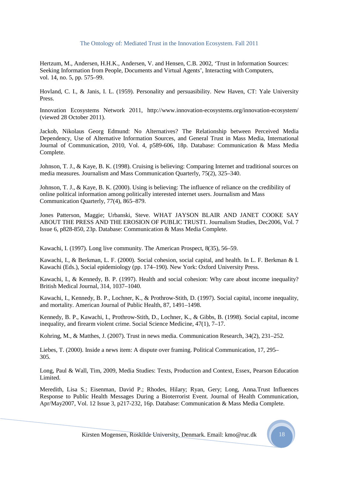Hertzum, M., Andersen, H.H.K., Andersen, V. and Hensen, C.B. 2002, 'Trust in Information Sources: Seeking Information from People, Documents and Virtual Agents', Interacting with Computers, vol. 14, no. 5, pp. 575–99.

Hovland, C. I., & Janis, I. L. (1959). Personality and persuasibility. New Haven, CT: Yale University Press.

Innovation Ecosystems Network 2011, http://www.innovation-ecosystems.org/innovation-ecosystem/ (viewed 28 October 2011).

Jackob, Nikolaus Georg Edmund: No Alternatives? The Relationship between Perceived Media Dependency, Use of Alternative Information Sources, and General Trust in Mass Media, International Journal of Communication, 2010, Vol. 4, p589-606, 18p. Database: Communication & Mass Media Complete.

Johnson, T. J., & Kaye, B. K. (1998). Cruising is believing: Comparing Internet and traditional sources on media measures. Journalism and Mass Communication Quarterly, 75(2), 325–340.

Johnson, T. J., & Kaye, B. K. (2000). Using is believing: The influence of reliance on the credibility of online political information among politically interested internet users. Journalism and Mass Communication Quarterly, 77(4), 865–879.

Jones Patterson, Maggie; Urbanski, Steve. WHAT JAYSON BLAIR AND JANET COOKE SAY ABOUT THE PRESS AND THE EROSION OF PUBLIC TRUST1. Journalism Studies, Dec2006, Vol. 7 Issue 6, p828-850, 23p. Database: Communication & Mass Media Complete.

Kawachi, I. (1997). Long live community. The American Prospect, 8(35), 56–59.

Kawachi, I., & Berkman, L. F. (2000). Social cohesion, social capital, and health. In L. F. Berkman & I. Kawachi (Eds.), Social epidemiology (pp. 174–190). New York: Oxford University Press.

Kawachi, I., & Kennedy, B. P. (1997). Health and social cohesion: Why care about income inequality? British Medical Journal, 314, 1037–1040.

Kawachi, I., Kennedy, B. P., Lochner, K., & Prothrow-Stith, D. (1997). Social capital, income inequality, and mortality. American Journal of Public Health, 87, 1491–1498.

Kennedy, B. P., Kawachi, I., Prothrow-Stith, D., Lochner, K., & Gibbs, B. (1998). Social capital, income inequality, and firearm violent crime. Social Science Medicine, 47(1), 7–17.

Kohring, M., & Matthes, J. (2007). Trust in news media. Communication Research, 34(2), 231–252.

Liebes, T. (2000). Inside a news item: A dispute over framing. Political Communication, 17, 295– 305.

Long, Paul & Wall, Tim, 2009, Media Studies: Texts, Production and Context, Essex, Pearson Education Limited.

Meredith, Lisa S.; Eisenman, David P.; Rhodes, Hilary; Ryan, Gery; Long, Anna.Trust Influences Response to Public Health Messages During a Bioterrorist Event. Journal of Health Communication, Apr/May2007, Vol. 12 Issue 3, p217-232, 16p. Database: Communication & Mass Media Complete.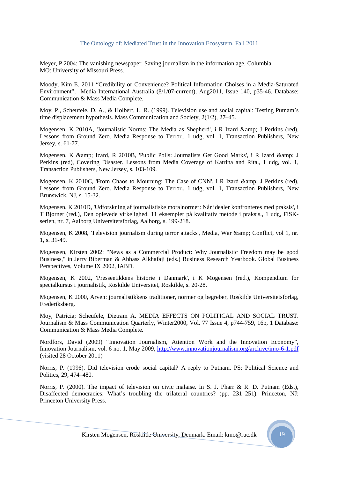Meyer, P 2004: The vanishing newspaper: Saving journalism in the information age. Columbia, MO: University of Missouri Press.

Moody, Kim E. 2011 "Credibility or Convenience? Political Information Choises in a Media-Saturated Environment", Media International Australia (8/1/07-current), Aug2011, Issue 140, p35-46. Database: Communication & Mass Media Complete.

Moy, P., Scheufele, D. A., & Holbert, L. R. (1999). Television use and social capital: Testing Putnam's time displacement hypothesis. Mass Communication and Society, 2(1/2), 27–45.

Mogensen, K 2010A, 'Journalistic Norms: The Media as Shepherd', i R Izard & amp; J Perkins (red), Lessons from Ground Zero. Media Response to Terror., 1 udg, vol. 1, Transaction Publishers, New Jersey, s. 61-77.

Mogensen, K & amp; Izard, R 2010B, 'Public Polls: Journalists Get Good Marks', i R Izard & amp; J Perkins (red), Covering Disaster. Lessons from Media Coverage of Katrina and Rita., 1 udg, vol. 1, Transaction Publishers, New Jersey, s. 103-109.

Mogensen, K 2010C, 'From Chaos to Mourning: The Case of CNN', i R Izard & amp; J Perkins (red), Lessons from Ground Zero. Media Response to Terror., 1 udg, vol. 1, Transaction Publishers, New Brunswick, NJ, s. 15-32.

Mogensen, K 2010D, 'Udforskning af journalistiske moralnormer: Når idealer konfronteres med praksis', i T Bjørner (red.), Den oplevede virkelighed. 11 eksempler på kvalitativ metode i praksis., 1 udg, FISKserien, nr. 7, Aalborg Universitetsforlag, Aalborg, s. 199-218.

Mogensen, K 2008, 'Television journalism during terror attacks', Media, War & amp; Conflict, vol 1, nr. 1, s. 31-49.

Mogensen, Kirsten 2002: "News as a Commercial Product: Why Journalistic Freedom may be good Business," in Jerry Biberman & Abbass Alkhafaji (eds.) Business Research Yearbook. Global Business Perspectives, Volume IX 2002, IABD.

Mogensen, K 2002, 'Presseetikkens historie i Danmark', i K Mogensen (red.), Kompendium for specialkursus i journalistik, Roskilde Universitet, Roskilde, s. 20-28.

Mogensen, K 2000, Arven: journalistikkens traditioner, normer og begreber, Roskilde Universitetsforlag, Frederiksberg.

Moy, Patricia; Scheufele, Dietram A. MEDIA EFFECTS ON POLITICAL AND SOCIAL TRUST. Journalism & Mass Communication Quarterly, Winter2000, Vol. 77 Issue 4, p744-759, 16p, 1 Database: Communication & Mass Media Complete.

Nordfors, David (2009) "Innovation Journalism, Attention Work and the Innovation Economy", Innovation Journalism, vol. 6 no. 1, May 2009, http://www.innovationjournalism.org/archive/injo-6-1.pdf (visited 28 October 2011)

Norris, P. (1996). Did television erode social capital? A reply to Putnam. PS: Political Science and Politics, 29, 474–480.

Norris, P. (2000). The impact of television on civic malaise. In S. J. Pharr & R. D. Putnam (Eds.), Disaffected democracies: What's troubling the trilateral countries? (pp. 231–251). Princeton, NJ: Princeton University Press.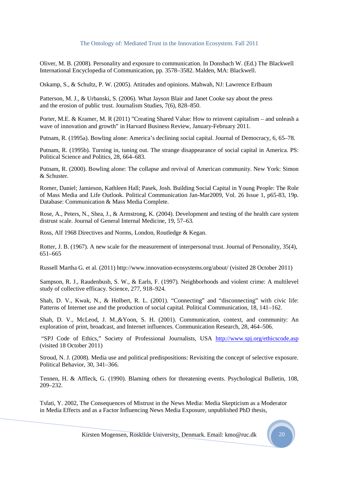Oliver, M. B. (2008). Personality and exposure to communication. In Donsbach W. (Ed.) The Blackwell International Encyclopedia of Communication, pp. 3578–3582. Malden, MA: Blackwell.

Oskamp, S., & Schultz, P. W. (2005). Attitudes and opinions. Mahwah, NJ: Lawrence Erlbaum

Patterson, M. J., & Urbanski, S. (2006). What Jayson Blair and Janet Cooke say about the press and the erosion of public trust. Journalism Studies, 7(6), 828–850.

Porter, M.E. & Kramer, M. R (2011) "Creating Shared Value: How to reinvent capitalism – and unleash a wave of innovation and growth" in Harvard Business Review, January-February 2011.

Putnam, R. (1995a). Bowling alone: America's declining social capital. Journal of Democracy, 6, 65–78.

Putnam, R. (1995b). Turning in, tuning out. The strange disappearance of social capital in America. PS: Political Science and Politics, 28, 664–683.

Putnam, R. (2000). Bowling alone: The collapse and revival of American community. New York: Simon & Schuster.

Romer, Daniel; Jamieson, Kathleen Hall; Pasek, Josh. Building Social Capital in Young People: The Role of Mass Media and Life Outlook. Political Communication Jan-Mar2009, Vol. 26 Issue 1, p65-83, 19p. Database: Communication & Mass Media Complete.

Rose, A., Peters, N., Shea, J., & Armstrong, K. (2004). Development and testing of the health care system distrust scale. Journal of General Internal Medicine, 19, 57–63.

Ross, Alf 1968 Directives and Norms, London, Routledge & Kegan.

Rotter, J. B. (1967). A new scale for the measurement of interpersonal trust. Journal of Personality, 35(4), 651–665

Russell Martha G. et al. (2011) http://www.innovation-ecosystems.org/about/ (visited 28 October 2011)

Sampson, R. J., Raudenbush, S. W., & Earls, F. (1997). Neighborhoods and violent crime: A multilevel study of collective efficacy. Science, 277, 918–924.

Shah, D. V., Kwak, N., & Holbert, R. L. (2001). "Connecting" and "disconnecting" with civic life: Patterns of Internet use and the production of social capital. Political Communication, 18, 141–162.

Shah, D. V., McLeod, J. M.,&Yoon, S. H. (2001). Communication, context, and community: An exploration of print, broadcast, and Internet influences. Communication Research, 28, 464–506.

 "SPJ Code of Ethics," Society of Professional Journalists, USA http://www.spj.org/ethicscode.asp (visited 18 October 2011)

Stroud, N. J. (2008). Media use and political predispositions: Revisiting the concept of selective exposure. Political Behavior, 30, 341–366.

Tennen, H. & Affleck, G. (1990). Blaming others for threatening events. Psychological Bulletin, 108, 209–232.

Tsfati, Y. 2002, The Consequences of Mistrust in the News Media: Media Skepticism as a Moderator in Media Effects and as a Factor Influencing News Media Exposure, unpublished PhD thesis,